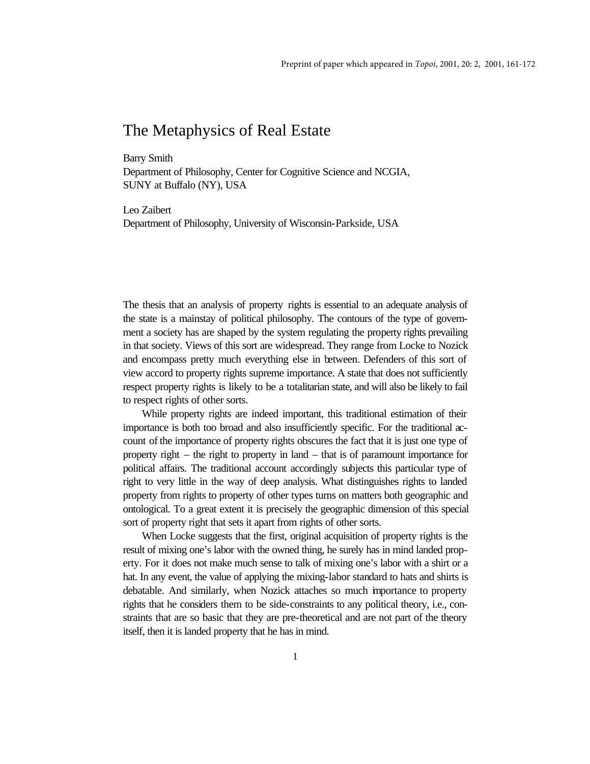# The Metaphysics of Real Estate

Barry Smith

Department of Philosophy, Center for Cognitive Science and NCGIA, SUNY at Buffalo (NY), USA

Leo Zaibert Department of Philosophy, University of Wisconsin-Parkside, USA

The thesis that an analysis of property rights is essential to an adequate analysis of the state is a mainstay of political philosophy. The contours of the type of government a society has are shaped by the system regulating the property rights prevailing in that society. Views of this sort are widespread. They range from Locke to Nozick and encompass pretty much everything else in between. Defenders of this sort of view accord to property rights supreme importance. A state that does not sufficiently respect property rights is likely to be a totalitarian state, and will also be likely to fail to respect rights of other sorts.

While property rights are indeed important, this traditional estimation of their importance is both too broad and also insufficiently specific. For the traditional account of the importance of property rights obscures the fact that it is just one type of property right – the right to property in land – that is of paramount importance for political affairs. The traditional account accordingly subjects this particular type of right to very little in the way of deep analysis. What distinguishes rights to landed property from rights to property of other types turns on matters both geographic and ontological. To a great extent it is precisely the geographic dimension of this special sort of property right that sets it apart from rights of other sorts.

When Locke suggests that the first, original acquisition of property rights is the result of mixing one's labor with the owned thing, he surely has in mind landed property. For it does not make much sense to talk of mixing one's labor with a shirt or a hat. In any event, the value of applying the mixing-labor standard to hats and shirts is debatable. And similarly, when Nozick attaches so much importance to property rights that he considers them to be side-constraints to any political theory, i.e., constraints that are so basic that they are pre-theoretical and are not part of the theory itself, then it is landed property that he has in mind.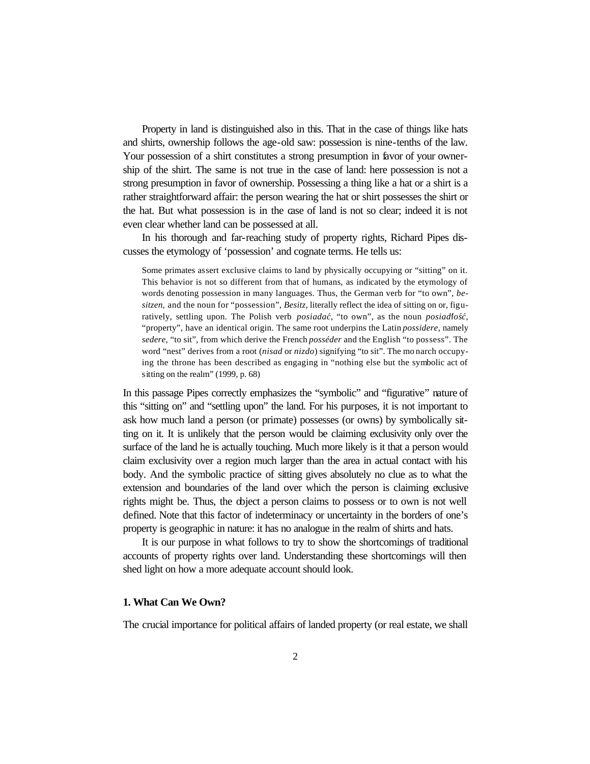Property in land is distinguished also in this. That in the case of things like hats and shirts, ownership follows the age-old saw: possession is nine-tenths of the law. Your possession of a shirt constitutes a strong presumption in favor of your ownership of the shirt. The same is not true in the case of land: here possession is not a strong presumption in favor of ownership. Possessing a thing like a hat or a shirt is a rather straightforward affair: the person wearing the hat or shirt possesses the shirt or the hat. But what possession is in the case of land is not so clear; indeed it is not even clear whether land can be possessed at all.

In his thorough and far-reaching study of property rights, Richard Pipes discusses the etymology of 'possession' and cognate terms. He tells us:

Some primates assert exclusive claims to land by physically occupying or "sitting" on it. This behavior is not so different from that of humans, as indicated by the etymology of words denoting possession in many languages. Thus, the German verb for "to own", *besitzen,* and the noun for "possession", *Besitz*, literally reflect the idea of sitting on or, figuratively, settling upon. The Polish verb *posiadać*, "to own", as the noun *posiadlość*, "property", have an identical origin. The same root underpins the Latin *possidere*, namely *sedere*, "to sit", from which derive the French *posséder* and the English "to possess". The word "nest" derives from a root (*nisad* or *nizdo*) signifying "to sit". The mo narch occupying the throne has been described as engaging in "nothing else but the symbolic act of sitting on the realm" (1999, p. 68)

In this passage Pipes correctly emphasizes the "symbolic" and "figurative" nature of this "sitting on" and "settling upon" the land. For his purposes, it is not important to ask how much land a person (or primate) possesses (or owns) by symbolically sitting on it. It is unlikely that the person would be claiming exclusivity only over the surface of the land he is actually touching. Much more likely is it that a person would claim exclusivity over a region much larger than the area in actual contact with his body. And the symbolic practice of sitting gives absolutely no clue as to what the extension and boundaries of the land over which the person is claiming exclusive rights might be. Thus, the object a person claims to possess or to own is not well defined. Note that this factor of indeterminacy or uncertainty in the borders of one's property is geographic in nature: it has no analogue in the realm of shirts and hats.

It is our purpose in what follows to try to show the shortcomings of traditional accounts of property rights over land. Understanding these shortcomings will then shed light on how a more adequate account should look.

## **1. What Can We Own?**

The crucial importance for political affairs of landed property (or real estate, we shall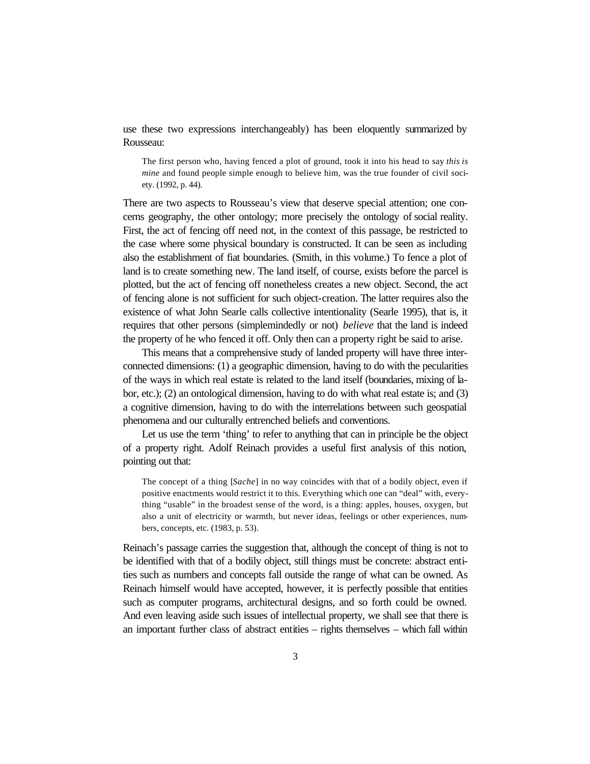use these two expressions interchangeably) has been eloquently summarized by Rousseau:

The first person who, having fenced a plot of ground, took it into his head to say *this is mine* and found people simple enough to believe him, was the true founder of civil society. (1992, p. 44).

There are two aspects to Rousseau's view that deserve special attention; one concerns geography, the other ontology; more precisely the ontology of social reality. First, the act of fencing off need not, in the context of this passage, be restricted to the case where some physical boundary is constructed. It can be seen as including also the establishment of fiat boundaries. (Smith, in this volume.) To fence a plot of land is to create something new. The land itself, of course, exists before the parcel is plotted, but the act of fencing off nonetheless creates a new object. Second, the act of fencing alone is not sufficient for such object-creation. The latter requires also the existence of what John Searle calls collective intentionality (Searle 1995), that is, it requires that other persons (simplemindedly or not) *believe* that the land is indeed the property of he who fenced it off. Only then can a property right be said to arise.

This means that a comprehensive study of landed property will have three interconnected dimensions: (1) a geographic dimension, having to do with the pecularities of the ways in which real estate is related to the land itself (boundaries, mixing of labor, etc.); (2) an ontological dimension, having to do with what real estate is; and (3) a cognitive dimension, having to do with the interrelations between such geospatial phenomena and our culturally entrenched beliefs and conventions.

Let us use the term 'thing' to refer to anything that can in principle be the object of a property right. Adolf Reinach provides a useful first analysis of this notion, pointing out that:

The concept of a thing [*Sache*] in no way coincides with that of a bodily object, even if positive enactments would restrict it to this. Everything which one can "deal" with, everything "usable" in the broadest sense of the word, is a thing: apples, houses, oxygen, but also a unit of electricity or warmth, but never ideas, feelings or other experiences, numbers, concepts, etc. (1983, p. 53).

Reinach's passage carries the suggestion that, although the concept of thing is not to be identified with that of a bodily object, still things must be concrete: abstract entities such as numbers and concepts fall outside the range of what can be owned. As Reinach himself would have accepted, however, it is perfectly possible that entities such as computer programs, architectural designs, and so forth could be owned. And even leaving aside such issues of intellectual property, we shall see that there is an important further class of abstract entities – rights themselves – which fall within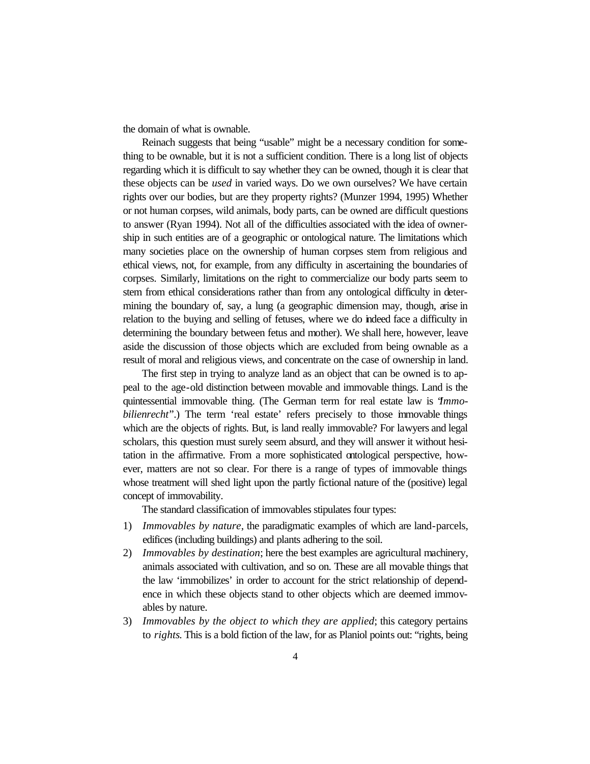the domain of what is ownable.

Reinach suggests that being "usable" might be a necessary condition for something to be ownable, but it is not a sufficient condition. There is a long list of objects regarding which it is difficult to say whether they can be owned, though it is clear that these objects can be *used* in varied ways. Do we own ourselves? We have certain rights over our bodies, but are they property rights? (Munzer 1994, 1995) Whether or not human corpses, wild animals, body parts, can be owned are difficult questions to answer (Ryan 1994). Not all of the difficulties associated with the idea of ownership in such entities are of a geographic or ontological nature. The limitations which many societies place on the ownership of human corpses stem from religious and ethical views, not, for example, from any difficulty in ascertaining the boundaries of corpses. Similarly, limitations on the right to commercialize our body parts seem to stem from ethical considerations rather than from any ontological difficulty in determining the boundary of, say, a lung (a geographic dimension may, though, arise in relation to the buying and selling of fetuses, where we do indeed face a difficulty in determining the boundary between fetus and mother). We shall here, however, leave aside the discussion of those objects which are excluded from being ownable as a result of moral and religious views, and concentrate on the case of ownership in land.

The first step in trying to analyze land as an object that can be owned is to appeal to the age-old distinction between movable and immovable things. Land is the quintessential immovable thing. (The German term for real estate law is "*Immobilienrecht*".) The term 'real estate' refers precisely to those immovable things which are the objects of rights. But, is land really immovable? For lawyers and legal scholars, this question must surely seem absurd, and they will answer it without hesitation in the affirmative. From a more sophisticated ontological perspective, however, matters are not so clear. For there is a range of types of immovable things whose treatment will shed light upon the partly fictional nature of the (positive) legal concept of immovability.

The standard classification of immovables stipulates four types:

- 1) *Immovables by nature*, the paradigmatic examples of which are land-parcels, edifices (including buildings) and plants adhering to the soil.
- 2) *Immovables by destination*; here the best examples are agricultural machinery, animals associated with cultivation, and so on. These are all movable things that the law 'immobilizes' in order to account for the strict relationship of dependence in which these objects stand to other objects which are deemed immovables by nature.
- 3) *Immovables by the object to which they are applied*; this category pertains to *rights*. This is a bold fiction of the law, for as Planiol points out: "rights, being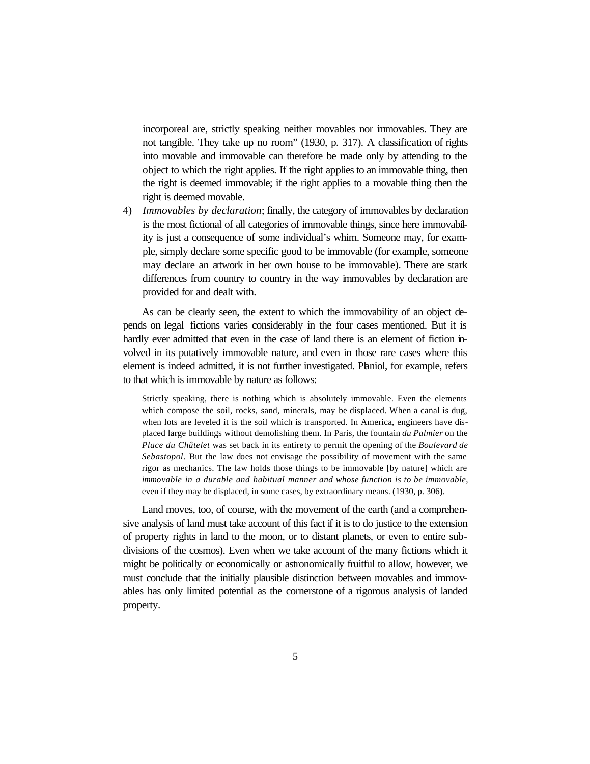incorporeal are, strictly speaking neither movables nor immovables. They are not tangible. They take up no room" (1930, p. 317). A classification of rights into movable and immovable can therefore be made only by attending to the object to which the right applies. If the right applies to an immovable thing, then the right is deemed immovable; if the right applies to a movable thing then the right is deemed movable.

4) *Immovables by declaration*; finally, the category of immovables by declaration is the most fictional of all categories of immovable things, since here immovability is just a consequence of some individual's whim. Someone may, for example, simply declare some specific good to be immovable (for example, someone may declare an artwork in her own house to be immovable). There are stark differences from country to country in the way immovables by declaration are provided for and dealt with.

As can be clearly seen, the extent to which the immovability of an object depends on legal fictions varies considerably in the four cases mentioned. But it is hardly ever admitted that even in the case of land there is an element of fiction involved in its putatively immovable nature, and even in those rare cases where this element is indeed admitted, it is not further investigated. Planiol, for example, refers to that which is immovable by nature as follows:

Strictly speaking, there is nothing which is absolutely immovable. Even the elements which compose the soil, rocks, sand, minerals, may be displaced. When a canal is dug, when lots are leveled it is the soil which is transported. In America, engineers have displaced large buildings without demolishing them. In Paris, the fountain *du Palmier* on the *Place du Châtelet* was set back in its entirety to permit the opening of the *Boulevard de Sebastopol*. But the law does not envisage the possibility of movement with the same rigor as mechanics. The law holds those things to be immovable [by nature] which are *immovable in a durable and habitual manner and whose function is to be immovable*, even if they may be displaced, in some cases, by extraordinary means. (1930, p. 306).

Land moves, too, of course, with the movement of the earth (and a comprehensive analysis of land must take account of this fact if it is to do justice to the extension of property rights in land to the moon, or to distant planets, or even to entire subdivisions of the cosmos). Even when we take account of the many fictions which it might be politically or economically or astronomically fruitful to allow, however, we must conclude that the initially plausible distinction between movables and immovables has only limited potential as the cornerstone of a rigorous analysis of landed property.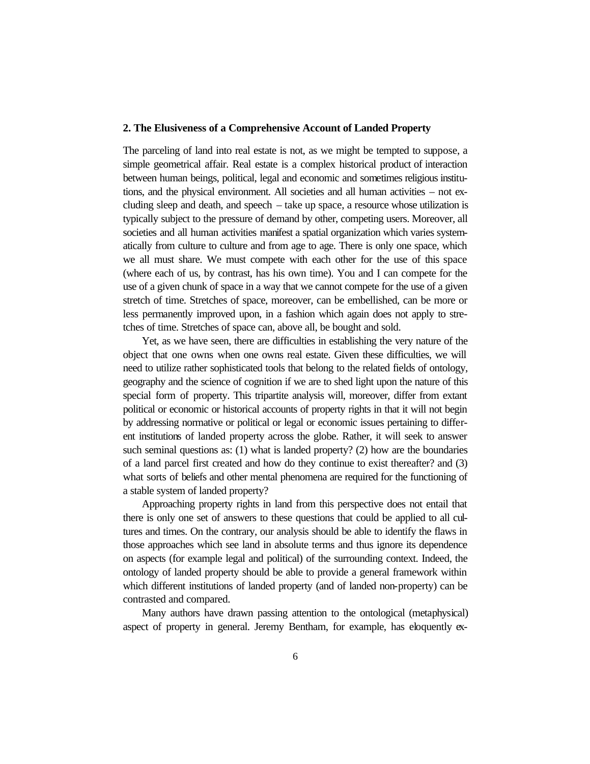#### **2. The Elusiveness of a Comprehensive Account of Landed Property**

The parceling of land into real estate is not, as we might be tempted to suppose, a simple geometrical affair. Real estate is a complex historical product of interaction between human beings, political, legal and economic and sometimes religious institutions, and the physical environment. All societies and all human activities – not excluding sleep and death, and speech – take up space, a resource whose utilization is typically subject to the pressure of demand by other, competing users. Moreover, all societies and all human activities manifest a spatial organization which varies systematically from culture to culture and from age to age. There is only one space, which we all must share. We must compete with each other for the use of this space (where each of us, by contrast, has his own time). You and I can compete for the use of a given chunk of space in a way that we cannot compete for the use of a given stretch of time. Stretches of space, moreover, can be embellished, can be more or less permanently improved upon, in a fashion which again does not apply to stretches of time. Stretches of space can, above all, be bought and sold.

Yet, as we have seen, there are difficulties in establishing the very nature of the object that one owns when one owns real estate. Given these difficulties, we will need to utilize rather sophisticated tools that belong to the related fields of ontology, geography and the science of cognition if we are to shed light upon the nature of this special form of property. This tripartite analysis will, moreover, differ from extant political or economic or historical accounts of property rights in that it will not begin by addressing normative or political or legal or economic issues pertaining to different institutions of landed property across the globe. Rather, it will seek to answer such seminal questions as: (1) what is landed property? (2) how are the boundaries of a land parcel first created and how do they continue to exist thereafter? and (3) what sorts of beliefs and other mental phenomena are required for the functioning of a stable system of landed property?

Approaching property rights in land from this perspective does not entail that there is only one set of answers to these questions that could be applied to all cultures and times. On the contrary, our analysis should be able to identify the flaws in those approaches which see land in absolute terms and thus ignore its dependence on aspects (for example legal and political) of the surrounding context. Indeed, the ontology of landed property should be able to provide a general framework within which different institutions of landed property (and of landed non-property) can be contrasted and compared.

Many authors have drawn passing attention to the ontological (metaphysical) aspect of property in general. Jeremy Bentham, for example, has eloquently ex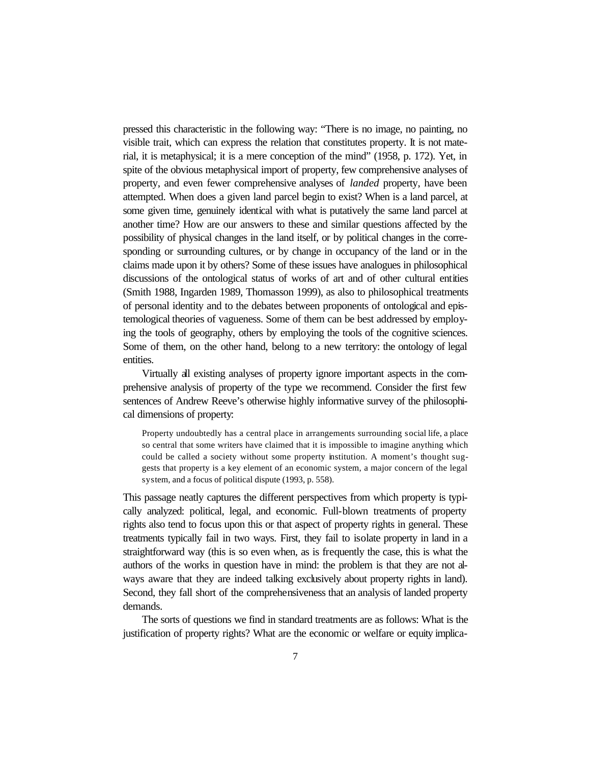pressed this characteristic in the following way: "There is no image, no painting, no visible trait, which can express the relation that constitutes property. It is not material, it is metaphysical; it is a mere conception of the mind" (1958, p. 172). Yet, in spite of the obvious metaphysical import of property, few comprehensive analyses of property, and even fewer comprehensive analyses of *landed* property, have been attempted. When does a given land parcel begin to exist? When is a land parcel, at some given time, genuinely identical with what is putatively the same land parcel at another time? How are our answers to these and similar questions affected by the possibility of physical changes in the land itself, or by political changes in the corresponding or surrounding cultures, or by change in occupancy of the land or in the claims made upon it by others? Some of these issues have analogues in philosophical discussions of the ontological status of works of art and of other cultural entities (Smith 1988, Ingarden 1989, Thomasson 1999), as also to philosophical treatments of personal identity and to the debates between proponents of ontological and epistemological theories of vagueness. Some of them can be best addressed by employing the tools of geography, others by employing the tools of the cognitive sciences. Some of them, on the other hand, belong to a new territory: the ontology of legal entities.

Virtually all existing analyses of property ignore important aspects in the comprehensive analysis of property of the type we recommend. Consider the first few sentences of Andrew Reeve's otherwise highly informative survey of the philosophical dimensions of property:

Property undoubtedly has a central place in arrangements surrounding social life, a place so central that some writers have claimed that it is impossible to imagine anything which could be called a society without some property institution. A moment's thought suggests that property is a key element of an economic system, a major concern of the legal system, and a focus of political dispute (1993, p. 558).

This passage neatly captures the different perspectives from which property is typically analyzed: political, legal, and economic. Full-blown treatments of property rights also tend to focus upon this or that aspect of property rights in general. These treatments typically fail in two ways. First, they fail to isolate property in land in a straightforward way (this is so even when, as is frequently the case, this is what the authors of the works in question have in mind: the problem is that they are not always aware that they are indeed talking exclusively about property rights in land). Second, they fall short of the comprehensiveness that an analysis of landed property demands.

The sorts of questions we find in standard treatments are as follows: What is the justification of property rights? What are the economic or welfare or equity implica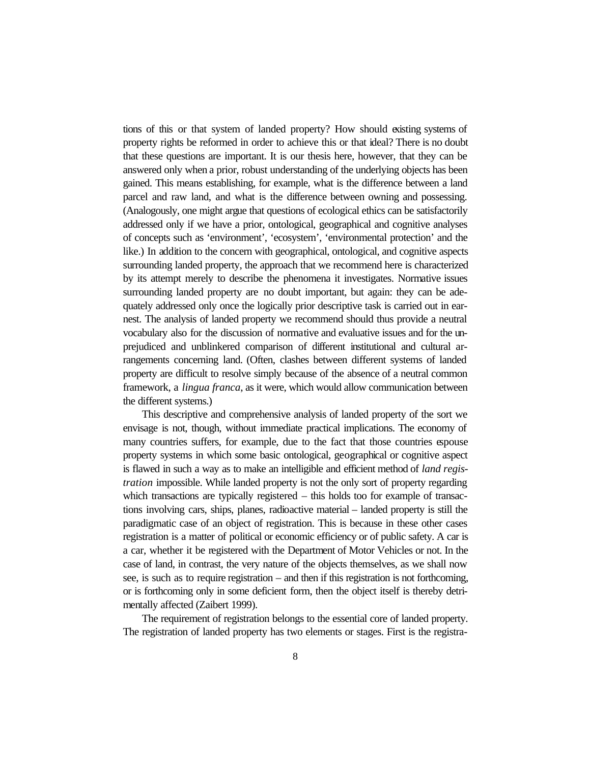tions of this or that system of landed property? How should existing systems of property rights be reformed in order to achieve this or that ideal? There is no doubt that these questions are important. It is our thesis here, however, that they can be answered only when a prior, robust understanding of the underlying objects has been gained. This means establishing, for example, what is the difference between a land parcel and raw land, and what is the difference between owning and possessing. (Analogously, one might argue that questions of ecological ethics can be satisfactorily addressed only if we have a prior, ontological, geographical and cognitive analyses of concepts such as 'environment', 'ecosystem', 'environmental protection' and the like.) In addition to the concern with geographical, ontological, and cognitive aspects surrounding landed property, the approach that we recommend here is characterized by its attempt merely to describe the phenomena it investigates. Normative issues surrounding landed property are no doubt important, but again: they can be adequately addressed only once the logically prior descriptive task is carried out in earnest. The analysis of landed property we recommend should thus provide a neutral vocabulary also for the discussion of normative and evaluative issues and for the unprejudiced and unblinkered comparison of different institutional and cultural arrangements concerning land. (Often, clashes between different systems of landed property are difficult to resolve simply because of the absence of a neutral common framework, a *lingua franca*, as it were, which would allow communication between the different systems.)

This descriptive and comprehensive analysis of landed property of the sort we envisage is not, though, without immediate practical implications. The economy of many countries suffers, for example, due to the fact that those countries espouse property systems in which some basic ontological, geographical or cognitive aspect is flawed in such a way as to make an intelligible and efficient method of *land registration* impossible. While landed property is not the only sort of property regarding which transactions are typically registered – this holds too for example of transactions involving cars, ships, planes, radioactive material – landed property is still the paradigmatic case of an object of registration. This is because in these other cases registration is a matter of political or economic efficiency or of public safety. A car is a car, whether it be registered with the Department of Motor Vehicles or not. In the case of land, in contrast, the very nature of the objects themselves, as we shall now see, is such as to require registration – and then if this registration is not forthcoming, or is forthcoming only in some deficient form, then the object itself is thereby detrimentally affected (Zaibert 1999).

The requirement of registration belongs to the essential core of landed property. The registration of landed property has two elements or stages. First is the registra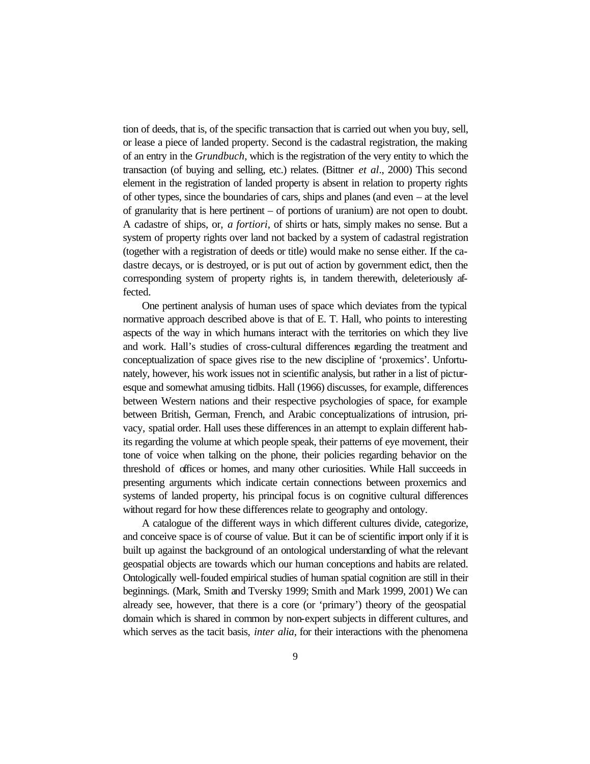tion of deeds, that is, of the specific transaction that is carried out when you buy, sell, or lease a piece of landed property. Second is the cadastral registration, the making of an entry in the *Grundbuch*, which is the registration of the very entity to which the transaction (of buying and selling, etc.) relates. (Bittner *et al*., 2000) This second element in the registration of landed property is absent in relation to property rights of other types, since the boundaries of cars, ships and planes (and even – at the level of granularity that is here pertinent – of portions of uranium) are not open to doubt. A cadastre of ships, or, *a fortiori*, of shirts or hats, simply makes no sense. But a system of property rights over land not backed by a system of cadastral registration (together with a registration of deeds or title) would make no sense either. If the cadastre decays, or is destroyed, or is put out of action by government edict, then the corresponding system of property rights is, in tandem therewith, deleteriously affected.

One pertinent analysis of human uses of space which deviates from the typical normative approach described above is that of E. T. Hall, who points to interesting aspects of the way in which humans interact with the territories on which they live and work. Hall's studies of cross-cultural differences regarding the treatment and conceptualization of space gives rise to the new discipline of 'proxemics'. Unfortunately, however, his work issues not in scientific analysis, but rather in a list of picturesque and somewhat amusing tidbits. Hall (1966) discusses, for example, differences between Western nations and their respective psychologies of space, for example between British, German, French, and Arabic conceptualizations of intrusion, privacy, spatial order. Hall uses these differences in an attempt to explain different habits regarding the volume at which people speak, their patterns of eye movement, their tone of voice when talking on the phone, their policies regarding behavior on the threshold of offices or homes, and many other curiosities. While Hall succeeds in presenting arguments which indicate certain connections between proxemics and systems of landed property, his principal focus is on cognitive cultural differences without regard for how these differences relate to geography and ontology.

A catalogue of the different ways in which different cultures divide, categorize, and conceive space is of course of value. But it can be of scientific import only if it is built up against the background of an ontological understanding of what the relevant geospatial objects are towards which our human conceptions and habits are related. Ontologically well-fouded empirical studies of human spatial cognition are still in their beginnings. (Mark, Smith and Tversky 1999; Smith and Mark 1999, 2001) We can already see, however, that there is a core (or 'primary') theory of the geospatial domain which is shared in common by non-expert subjects in different cultures, and which serves as the tacit basis, *inter alia*, for their interactions with the phenomena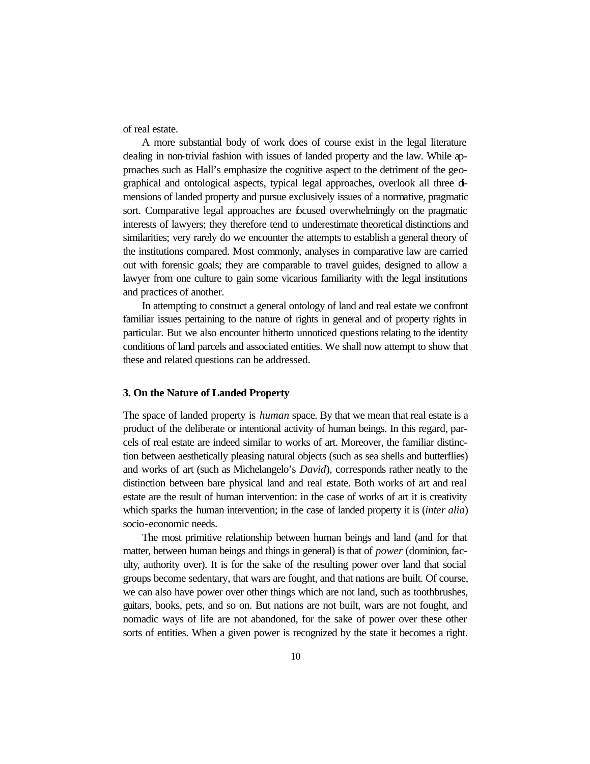of real estate.

A more substantial body of work does of course exist in the legal literature dealing in non-trivial fashion with issues of landed property and the law. While approaches such as Hall's emphasize the cognitive aspect to the detriment of the geographical and ontological aspects, typical legal approaches, overlook all three dimensions of landed property and pursue exclusively issues of a normative, pragmatic sort. Comparative legal approaches are focused overwhelmingly on the pragmatic interests of lawyers; they therefore tend to underestimate theoretical distinctions and similarities; very rarely do we encounter the attempts to establish a general theory of the institutions compared. Most commonly, analyses in comparative law are carried out with forensic goals; they are comparable to travel guides, designed to allow a lawyer from one culture to gain some vicarious familiarity with the legal institutions and practices of another.

In attempting to construct a general ontology of land and real estate we confront familiar issues pertaining to the nature of rights in general and of property rights in particular. But we also encounter hitherto unnoticed questions relating to the identity conditions of land parcels and associated entities. We shall now attempt to show that these and related questions can be addressed.

### **3. On the Nature of Landed Property**

The space of landed property is *human* space. By that we mean that real estate is a product of the deliberate or intentional activity of human beings. In this regard, parcels of real estate are indeed similar to works of art. Moreover, the familiar distinction between aesthetically pleasing natural objects (such as sea shells and butterflies) and works of art (such as Michelangelo's *David*), corresponds rather neatly to the distinction between bare physical land and real estate. Both works of art and real estate are the result of human intervention: in the case of works of art it is creativity which sparks the human intervention; in the case of landed property it is (*inter alia*) socio-economic needs.

The most primitive relationship between human beings and land (and for that matter, between human beings and things in general) is that of *power* (dominion, faculty, authority over). It is for the sake of the resulting power over land that social groups become sedentary, that wars are fought, and that nations are built. Of course, we can also have power over other things which are not land, such as toothbrushes, guitars, books, pets, and so on. But nations are not built, wars are not fought, and nomadic ways of life are not abandoned, for the sake of power over these other sorts of entities. When a given power is recognized by the state it becomes a right.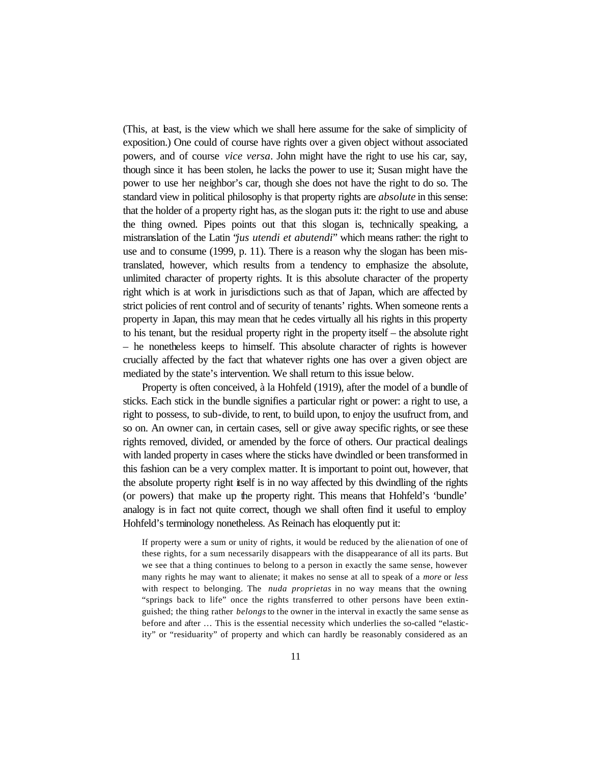(This, at least, is the view which we shall here assume for the sake of simplicity of exposition.) One could of course have rights over a given object without associated powers, and of course *vice versa*. John might have the right to use his car, say, though since it has been stolen, he lacks the power to use it; Susan might have the power to use her neighbor's car, though she does not have the right to do so. The standard view in political philosophy is that property rights are *absolute* in this sense: that the holder of a property right has, as the slogan puts it: the right to use and abuse the thing owned. Pipes points out that this slogan is, technically speaking, a mistranslation of the Latin "*jus utendi et abutendi*" which means rather: the right to use and to consume (1999, p. 11). There is a reason why the slogan has been mistranslated, however, which results from a tendency to emphasize the absolute, unlimited character of property rights. It is this absolute character of the property right which is at work in jurisdictions such as that of Japan, which are affected by strict policies of rent control and of security of tenants' rights. When someone rents a property in Japan, this may mean that he cedes virtually all his rights in this property to his tenant, but the residual property right in the property itself – the absolute right – he nonetheless keeps to himself. This absolute character of rights is however crucially affected by the fact that whatever rights one has over a given object are mediated by the state's intervention. We shall return to this issue below.

Property is often conceived, à la Hohfeld (1919), after the model of a bundle of sticks. Each stick in the bundle signifies a particular right or power: a right to use, a right to possess, to sub-divide, to rent, to build upon, to enjoy the usufruct from, and so on. An owner can, in certain cases, sell or give away specific rights, or see these rights removed, divided, or amended by the force of others. Our practical dealings with landed property in cases where the sticks have dwindled or been transformed in this fashion can be a very complex matter. It is important to point out, however, that the absolute property right itself is in no way affected by this dwindling of the rights (or powers) that make up the property right. This means that Hohfeld's 'bundle' analogy is in fact not quite correct, though we shall often find it useful to employ Hohfeld's terminology nonetheless. As Reinach has eloquently put it:

If property were a sum or unity of rights, it would be reduced by the alienation of one of these rights, for a sum necessarily disappears with the disappearance of all its parts. But we see that a thing continues to belong to a person in exactly the same sense, however many rights he may want to alienate; it makes no sense at all to speak of a *more* or *less* with respect to belonging. The *nuda proprietas* in no way means that the owning "springs back to life" once the rights transferred to other persons have been extinguished; the thing rather *belongs* to the owner in the interval in exactly the same sense as before and after … This is the essential necessity which underlies the so-called "elasticity" or "residuarity" of property and which can hardly be reasonably considered as an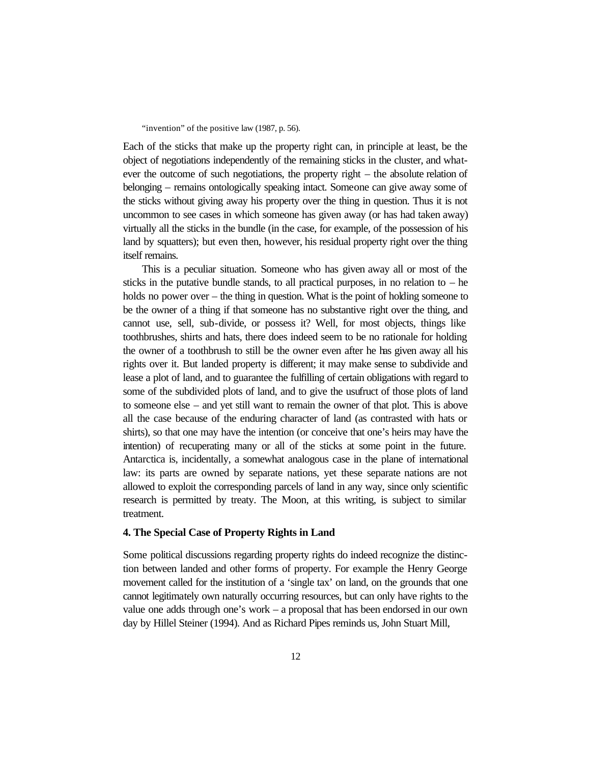## "invention" of the positive law (1987, p. 56).

Each of the sticks that make up the property right can, in principle at least, be the object of negotiations independently of the remaining sticks in the cluster, and whatever the outcome of such negotiations, the property right – the absolute relation of belonging – remains ontologically speaking intact. Someone can give away some of the sticks without giving away his property over the thing in question. Thus it is not uncommon to see cases in which someone has given away (or has had taken away) virtually all the sticks in the bundle (in the case, for example, of the possession of his land by squatters); but even then, however, his residual property right over the thing itself remains.

This is a peculiar situation. Someone who has given away all or most of the sticks in the putative bundle stands, to all practical purposes, in no relation to  $-$  he holds no power over – the thing in question. What is the point of holding someone to be the owner of a thing if that someone has no substantive right over the thing, and cannot use, sell, sub-divide, or possess it? Well, for most objects, things like toothbrushes, shirts and hats, there does indeed seem to be no rationale for holding the owner of a toothbrush to still be the owner even after he has given away all his rights over it. But landed property is different; it may make sense to subdivide and lease a plot of land, and to guarantee the fulfilling of certain obligations with regard to some of the subdivided plots of land, and to give the usufruct of those plots of land to someone else – and yet still want to remain the owner of that plot. This is above all the case because of the enduring character of land (as contrasted with hats or shirts), so that one may have the intention (or conceive that one's heirs may have the intention) of recuperating many or all of the sticks at some point in the future. Antarctica is, incidentally, a somewhat analogous case in the plane of international law: its parts are owned by separate nations, yet these separate nations are not allowed to exploit the corresponding parcels of land in any way, since only scientific research is permitted by treaty. The Moon, at this writing, is subject to similar treatment.

#### **4. The Special Case of Property Rights in Land**

Some political discussions regarding property rights do indeed recognize the distinction between landed and other forms of property. For example the Henry George movement called for the institution of a 'single tax' on land, on the grounds that one cannot legitimately own naturally occurring resources, but can only have rights to the value one adds through one's work – a proposal that has been endorsed in our own day by Hillel Steiner (1994). And as Richard Pipes reminds us, John Stuart Mill,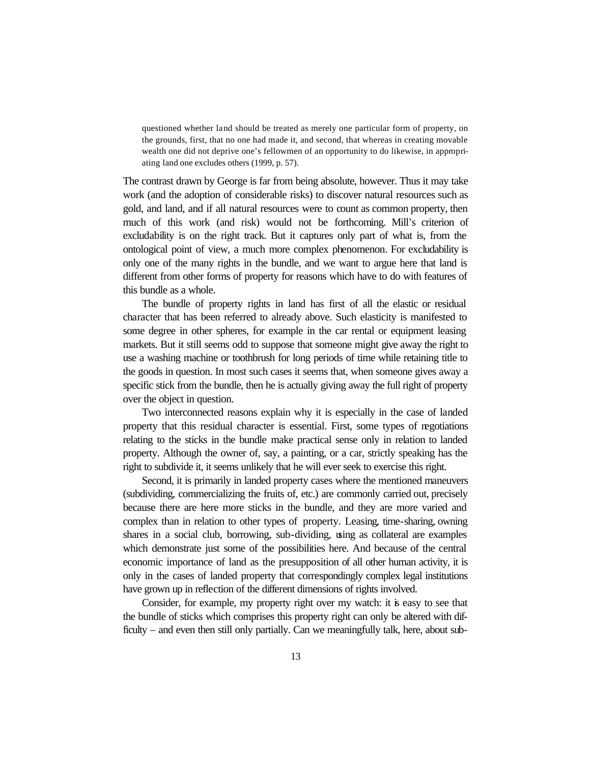questioned whether land should be treated as merely one particular form of property, on the grounds, first, that no one had made it, and second, that whereas in creating movable wealth one did not deprive one's fellowmen of an opportunity to do likewise, in appropriating land one excludes others (1999, p. 57).

The contrast drawn by George is far from being absolute, however. Thus it may take work (and the adoption of considerable risks) to discover natural resources such as gold, and land, and if all natural resources were to count as common property, then much of this work (and risk) would not be forthcoming. Mill's criterion of excludability is on the right track. But it captures only part of what is, from the ontological point of view, a much more complex phenomenon. For excludability is only one of the many rights in the bundle, and we want to argue here that land is different from other forms of property for reasons which have to do with features of this bundle as a whole.

The bundle of property rights in land has first of all the elastic or residual character that has been referred to already above. Such elasticity is manifested to some degree in other spheres, for example in the car rental or equipment leasing markets. But it still seems odd to suppose that someone might give away the right to use a washing machine or toothbrush for long periods of time while retaining title to the goods in question. In most such cases it seems that, when someone gives away a specific stick from the bundle, then he is actually giving away the full right of property over the object in question.

Two interconnected reasons explain why it is especially in the case of landed property that this residual character is essential. First, some types of negotiations relating to the sticks in the bundle make practical sense only in relation to landed property. Although the owner of, say, a painting, or a car, strictly speaking has the right to subdivide it, it seems unlikely that he will ever seek to exercise this right.

Second, it is primarily in landed property cases where the mentioned maneuvers (subdividing, commercializing the fruits of, etc.) are commonly carried out, precisely because there are here more sticks in the bundle, and they are more varied and complex than in relation to other types of property. Leasing, time-sharing, owning shares in a social club, borrowing, sub-dividing, using as collateral are examples which demonstrate just some of the possibilities here. And because of the central economic importance of land as the presupposition of all other human activity, it is only in the cases of landed property that correspondingly complex legal institutions have grown up in reflection of the different dimensions of rights involved.

Consider, for example, my property right over my watch: it is easy to see that the bundle of sticks which comprises this property right can only be altered with difficulty – and even then still only partially. Can we meaningfully talk, here, about sub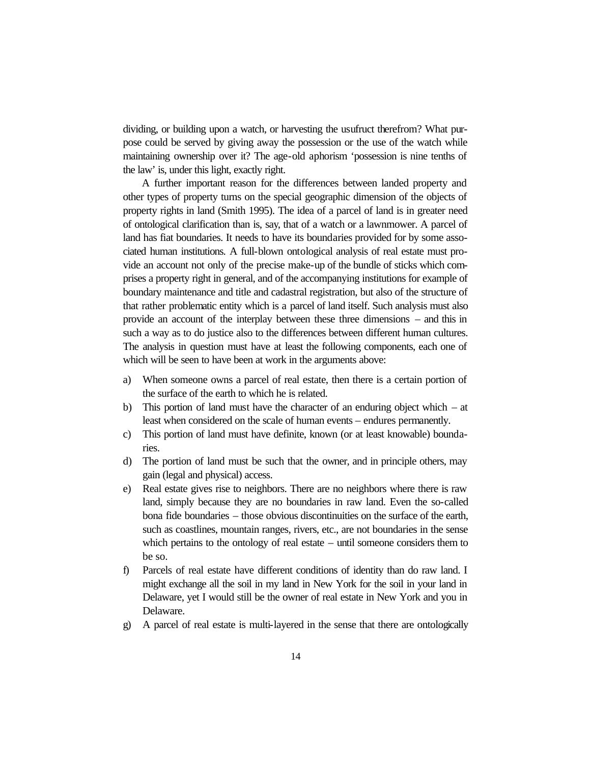dividing, or building upon a watch, or harvesting the usufruct therefrom? What purpose could be served by giving away the possession or the use of the watch while maintaining ownership over it? The age-old aphorism 'possession is nine tenths of the law' is, under this light, exactly right.

A further important reason for the differences between landed property and other types of property turns on the special geographic dimension of the objects of property rights in land (Smith 1995). The idea of a parcel of land is in greater need of ontological clarification than is, say, that of a watch or a lawnmower. A parcel of land has fiat boundaries. It needs to have its boundaries provided for by some associated human institutions. A full-blown ontological analysis of real estate must provide an account not only of the precise make-up of the bundle of sticks which comprises a property right in general, and of the accompanying institutions for example of boundary maintenance and title and cadastral registration, but also of the structure of that rather problematic entity which is a parcel of land itself. Such analysis must also provide an account of the interplay between these three dimensions – and this in such a way as to do justice also to the differences between different human cultures. The analysis in question must have at least the following components, each one of which will be seen to have been at work in the arguments above:

- a) When someone owns a parcel of real estate, then there is a certain portion of the surface of the earth to which he is related.
- b) This portion of land must have the character of an enduring object which at least when considered on the scale of human events – endures permanently.
- c) This portion of land must have definite, known (or at least knowable) boundaries.
- d) The portion of land must be such that the owner, and in principle others, may gain (legal and physical) access.
- e) Real estate gives rise to neighbors. There are no neighbors where there is raw land, simply because they are no boundaries in raw land. Even the so-called bona fide boundaries – those obvious discontinuities on the surface of the earth, such as coastlines, mountain ranges, rivers, etc., are not boundaries in the sense which pertains to the ontology of real estate – until someone considers them to be so.
- f) Parcels of real estate have different conditions of identity than do raw land. I might exchange all the soil in my land in New York for the soil in your land in Delaware, yet I would still be the owner of real estate in New York and you in Delaware.
- g) A parcel of real estate is multi-layered in the sense that there are ontologically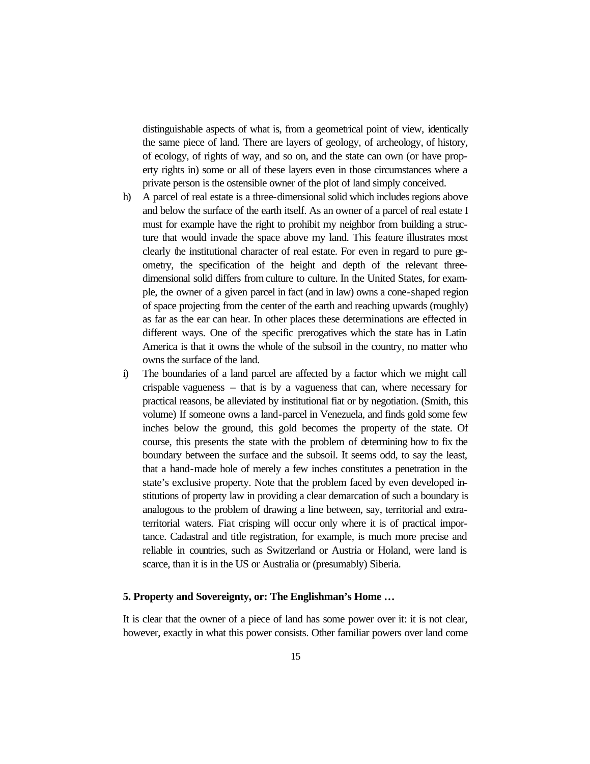distinguishable aspects of what is, from a geometrical point of view, identically the same piece of land. There are layers of geology, of archeology, of history, of ecology, of rights of way, and so on, and the state can own (or have property rights in) some or all of these layers even in those circumstances where a private person is the ostensible owner of the plot of land simply conceived.

- h) A parcel of real estate is a three-dimensional solid which includes regions above and below the surface of the earth itself. As an owner of a parcel of real estate I must for example have the right to prohibit my neighbor from building a structure that would invade the space above my land. This feature illustrates most clearly the institutional character of real estate. For even in regard to pure geometry, the specification of the height and depth of the relevant threedimensional solid differs fromculture to culture. In the United States, for example, the owner of a given parcel in fact (and in law) owns a cone-shaped region of space projecting from the center of the earth and reaching upwards (roughly) as far as the ear can hear. In other places these determinations are effected in different ways. One of the specific prerogatives which the state has in Latin America is that it owns the whole of the subsoil in the country, no matter who owns the surface of the land.
- i) The boundaries of a land parcel are affected by a factor which we might call crispable vagueness – that is by a vagueness that can, where necessary for practical reasons, be alleviated by institutional fiat or by negotiation. (Smith, this volume) If someone owns a land-parcel in Venezuela, and finds gold some few inches below the ground, this gold becomes the property of the state. Of course, this presents the state with the problem of determining how to fix the boundary between the surface and the subsoil. It seems odd, to say the least, that a hand-made hole of merely a few inches constitutes a penetration in the state's exclusive property. Note that the problem faced by even developed institutions of property law in providing a clear demarcation of such a boundary is analogous to the problem of drawing a line between, say, territorial and extraterritorial waters. Fiat crisping will occur only where it is of practical importance. Cadastral and title registration, for example, is much more precise and reliable in countries, such as Switzerland or Austria or Holand, were land is scarce, than it is in the US or Australia or (presumably) Siberia.

## **5. Property and Sovereignty, or: The Englishman's Home …**

It is clear that the owner of a piece of land has some power over it: it is not clear, however, exactly in what this power consists. Other familiar powers over land come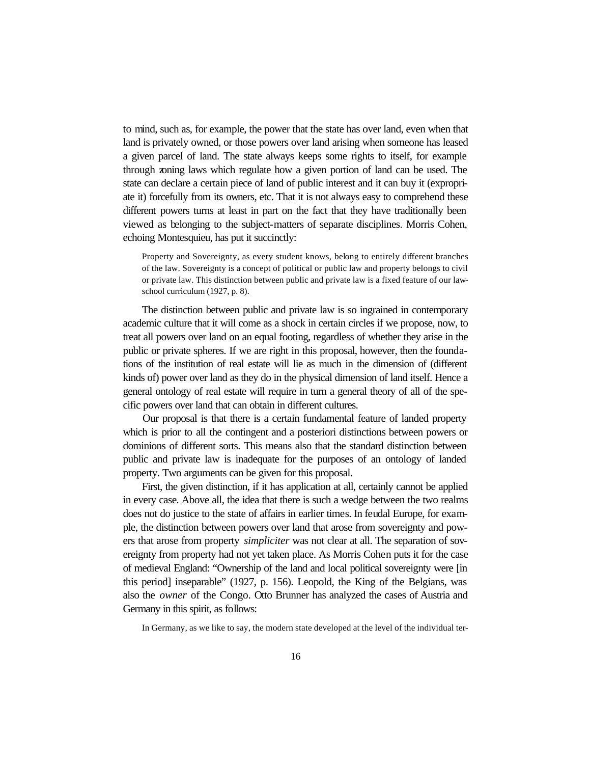to mind, such as, for example, the power that the state has over land, even when that land is privately owned, or those powers over land arising when someone has leased a given parcel of land. The state always keeps some rights to itself, for example through zoning laws which regulate how a given portion of land can be used. The state can declare a certain piece of land of public interest and it can buy it (expropriate it) forcefully from its owners, etc. That it is not always easy to comprehend these different powers turns at least in part on the fact that they have traditionally been viewed as belonging to the subject-matters of separate disciplines. Morris Cohen, echoing Montesquieu, has put it succinctly:

Property and Sovereignty, as every student knows, belong to entirely different branches of the law. Sovereignty is a concept of political or public law and property belongs to civil or private law. This distinction between public and private law is a fixed feature of our lawschool curriculum (1927, p. 8).

The distinction between public and private law is so ingrained in contemporary academic culture that it will come as a shock in certain circles if we propose, now, to treat all powers over land on an equal footing, regardless of whether they arise in the public or private spheres. If we are right in this proposal, however, then the foundations of the institution of real estate will lie as much in the dimension of (different kinds of) power over land as they do in the physical dimension of land itself. Hence a general ontology of real estate will require in turn a general theory of all of the specific powers over land that can obtain in different cultures.

Our proposal is that there is a certain fundamental feature of landed property which is prior to all the contingent and a posteriori distinctions between powers or dominions of different sorts. This means also that the standard distinction between public and private law is inadequate for the purposes of an ontology of landed property. Two arguments can be given for this proposal.

First, the given distinction, if it has application at all, certainly cannot be applied in every case. Above all, the idea that there is such a wedge between the two realms does not do justice to the state of affairs in earlier times. In feudal Europe, for example, the distinction between powers over land that arose from sovereignty and powers that arose from property *simpliciter* was not clear at all. The separation of sovereignty from property had not yet taken place. As Morris Cohen puts it for the case of medieval England: "Ownership of the land and local political sovereignty were [in this period] inseparable" (1927, p. 156). Leopold, the King of the Belgians, was also the *owner* of the Congo. Otto Brunner has analyzed the cases of Austria and Germany in this spirit, as follows:

In Germany, as we like to say, the modern state developed at the level of the individual ter-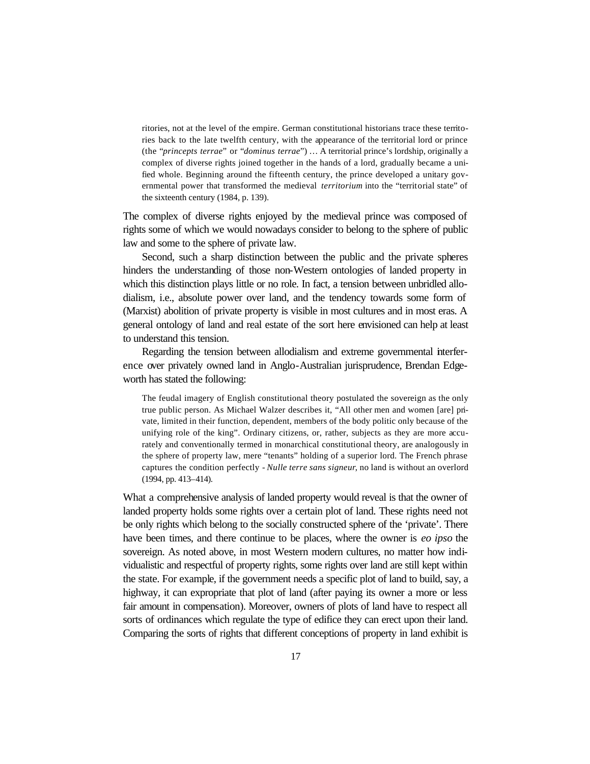ritories, not at the level of the empire. German constitutional historians trace these territories back to the late twelfth century, with the appearance of the territorial lord or prince (the "*princepts terrae*" or "*dominus terrae*") … A territorial prince's lordship, originally a complex of diverse rights joined together in the hands of a lord, gradually became a unified whole. Beginning around the fifteenth century, the prince developed a unitary governmental power that transformed the medieval *territorium* into the "territorial state" of the sixteenth century (1984, p. 139).

The complex of diverse rights enjoyed by the medieval prince was composed of rights some of which we would nowadays consider to belong to the sphere of public law and some to the sphere of private law.

Second, such a sharp distinction between the public and the private spheres hinders the understanding of those non-Western ontologies of landed property in which this distinction plays little or no role. In fact, a tension between unbridled allodialism, i.e., absolute power over land, and the tendency towards some form of (Marxist) abolition of private property is visible in most cultures and in most eras. A general ontology of land and real estate of the sort here envisioned can help at least to understand this tension.

Regarding the tension between allodialism and extreme governmental interference over privately owned land in Anglo-Australian jurisprudence, Brendan Edgeworth has stated the following:

The feudal imagery of English constitutional theory postulated the sovereign as the only true public person. As Michael Walzer describes it, "All other men and women [are] private, limited in their function, dependent, members of the body politic only because of the unifying role of the king". Ordinary citizens, or, rather, subjects as they are more accurately and conventionally termed in monarchical constitutional theory, are analogously in the sphere of property law, mere "tenants" holding of a superior lord. The French phrase captures the condition perfectly - *Nulle terre sans signeur*, no land is without an overlord (1994, pp. 413–414).

What a comprehensive analysis of landed property would reveal is that the owner of landed property holds some rights over a certain plot of land. These rights need not be only rights which belong to the socially constructed sphere of the 'private'. There have been times, and there continue to be places, where the owner is *eo ipso* the sovereign. As noted above, in most Western modern cultures, no matter how individualistic and respectful of property rights, some rights over land are still kept within the state. For example, if the government needs a specific plot of land to build, say, a highway, it can expropriate that plot of land (after paying its owner a more or less fair amount in compensation). Moreover, owners of plots of land have to respect all sorts of ordinances which regulate the type of edifice they can erect upon their land. Comparing the sorts of rights that different conceptions of property in land exhibit is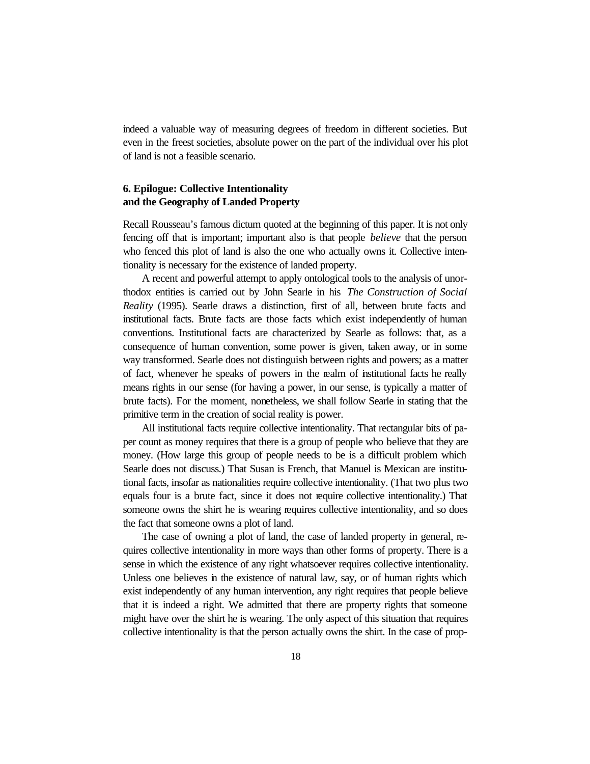indeed a valuable way of measuring degrees of freedom in different societies. But even in the freest societies, absolute power on the part of the individual over his plot of land is not a feasible scenario.

## **6. Epilogue: Collective Intentionality and the Geography of Landed Property**

Recall Rousseau's famous dictum quoted at the beginning of this paper. It is not only fencing off that is important; important also is that people *believe* that the person who fenced this plot of land is also the one who actually owns it. Collective intentionality is necessary for the existence of landed property.

A recent and powerful attempt to apply ontological tools to the analysis of unorthodox entities is carried out by John Searle in his *The Construction of Social Reality* (1995). Searle draws a distinction, first of all, between brute facts and institutional facts. Brute facts are those facts which exist independently of human conventions. Institutional facts are characterized by Searle as follows: that, as a consequence of human convention, some power is given, taken away, or in some way transformed. Searle does not distinguish between rights and powers; as a matter of fact, whenever he speaks of powers in the realm of institutional facts he really means rights in our sense (for having a power, in our sense, is typically a matter of brute facts). For the moment, nonetheless, we shall follow Searle in stating that the primitive term in the creation of social reality is power.

All institutional facts require collective intentionality. That rectangular bits of paper count as money requires that there is a group of people who believe that they are money. (How large this group of people needs to be is a difficult problem which Searle does not discuss.) That Susan is French, that Manuel is Mexican are institutional facts, insofar as nationalities require collective intentionality. (That two plus two equals four is a brute fact, since it does not require collective intentionality.) That someone owns the shirt he is wearing requires collective intentionality, and so does the fact that someone owns a plot of land.

The case of owning a plot of land, the case of landed property in general, requires collective intentionality in more ways than other forms of property. There is a sense in which the existence of any right whatsoever requires collective intentionality. Unless one believes in the existence of natural law, say, or of human rights which exist independently of any human intervention, any right requires that people believe that it is indeed a right. We admitted that there are property rights that someone might have over the shirt he is wearing. The only aspect of this situation that requires collective intentionality is that the person actually owns the shirt. In the case of prop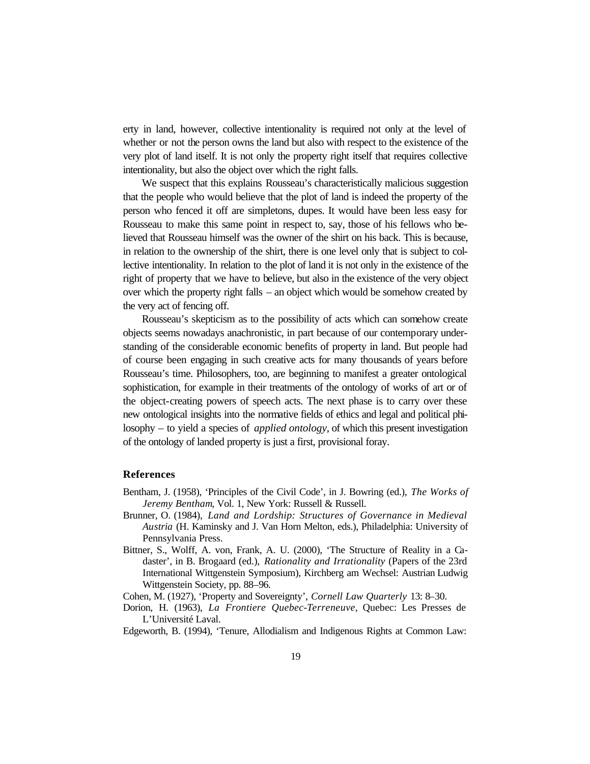erty in land, however, collective intentionality is required not only at the level of whether or not the person owns the land but also with respect to the existence of the very plot of land itself. It is not only the property right itself that requires collective intentionality, but also the object over which the right falls.

We suspect that this explains Rousseau's characteristically malicious suggestion that the people who would believe that the plot of land is indeed the property of the person who fenced it off are simpletons, dupes. It would have been less easy for Rousseau to make this same point in respect to, say, those of his fellows who believed that Rousseau himself was the owner of the shirt on his back. This is because, in relation to the ownership of the shirt, there is one level only that is subject to collective intentionality. In relation to the plot of land it is not only in the existence of the right of property that we have to believe, but also in the existence of the very object over which the property right falls – an object which would be somehow created by the very act of fencing off.

Rousseau's skepticism as to the possibility of acts which can somehow create objects seems nowadays anachronistic, in part because of our contemporary understanding of the considerable economic benefits of property in land. But people had of course been engaging in such creative acts for many thousands of years before Rousseau's time. Philosophers, too, are beginning to manifest a greater ontological sophistication, for example in their treatments of the ontology of works of art or of the object-creating powers of speech acts. The next phase is to carry over these new ontological insights into the normative fields of ethics and legal and political philosophy – to yield a species of *applied ontology*, of which this present investigation of the ontology of landed property is just a first, provisional foray.

## **References**

- Bentham, J. (1958), 'Principles of the Civil Code', in J. Bowring (ed.), *The Works of Jeremy Bentham*, Vol. 1, New York: Russell & Russell.
- Brunner, O. (1984), *Land and Lordship: Structures of Governance in Medieval Austria* (H. Kaminsky and J. Van Horn Melton, eds.), Philadelphia: University of Pennsylvania Press.
- Bittner, S., Wolff, A. von, Frank, A. U. (2000), 'The Structure of Reality in a Cadaster', in B. Brogaard (ed.), *Rationality and Irrationality* (Papers of the 23rd International Wittgenstein Symposium), Kirchberg am Wechsel: Austrian Ludwig Wittgenstein Society, pp. 88–96.
- Cohen, M. (1927), 'Property and Sovereignty', *Cornell Law Quarterly* 13: 8–30.
- Dorion, H. (1963), *La Frontiere Quebec-Terreneuve*, Quebec: Les Presses de L'Université Laval.
- Edgeworth, B. (1994), 'Tenure, Allodialism and Indigenous Rights at Common Law: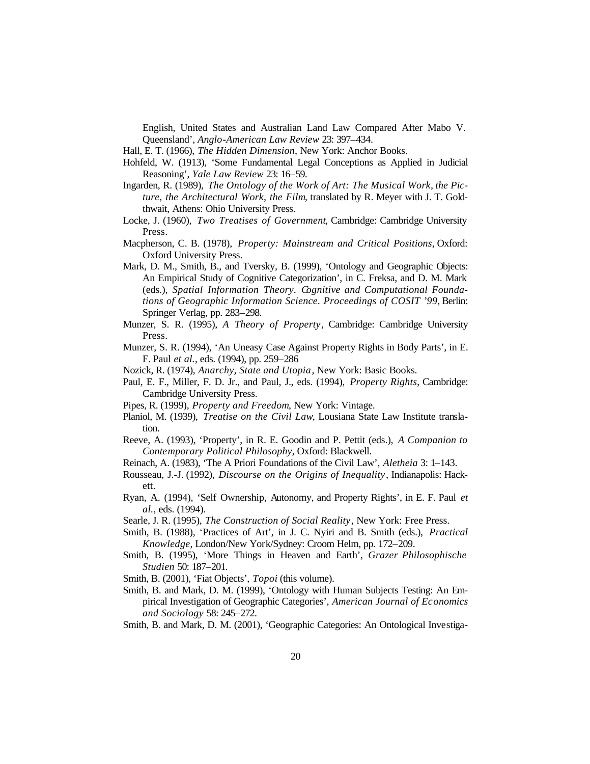English, United States and Australian Land Law Compared After Mabo V. Queensland', *Anglo-American Law Review* 23: 397–434.

Hall, E. T. (1966), *The Hidden Dimension*, New York: Anchor Books.

- Hohfeld, W. (1913), 'Some Fundamental Legal Conceptions as Applied in Judicial Reasoning', *Yale Law Review* 23: 16–59.
- Ingarden, R. (1989), *The Ontology of the Work of Art: The Musical Work, the Picture, the Architectural Work, the Film*, translated by R. Meyer with J. T. Goldthwait, Athens: Ohio University Press.
- Locke, J. (1960), *Two Treatises of Government*, Cambridge: Cambridge University Press.
- Macpherson, C. B. (1978), *Property: Mainstream and Critical Positions*, Oxford: Oxford University Press.
- Mark, D. M., Smith, B., and Tversky, B. (1999), 'Ontology and Geographic Objects: An Empirical Study of Cognitive Categorization', in C. Freksa, and D. M. Mark (eds.), *Spatial Information Theory. Cognitive and Computational Foundations of Geographic Information Science. Proceedings of COSIT '99*, Berlin: Springer Verlag, pp. 283–298.
- Munzer, S. R. (1995), *A Theory of Property*, Cambridge: Cambridge University Press.
- Munzer, S. R. (1994), 'An Uneasy Case Against Property Rights in Body Parts', in E. F. Paul *et al.*, eds. (1994), pp. 259–286
- Nozick, R. (1974), *Anarchy, State and Utopia*, New York: Basic Books.
- Paul, E. F., Miller, F. D. Jr., and Paul, J., eds. (1994), *Property Rights*, Cambridge: Cambridge University Press.
- Pipes, R. (1999), *Property and Freedom*, New York: Vintage.
- Planiol, M. (1939), *Treatise on the Civil Law*, Lousiana State Law Institute translation.
- Reeve, A. (1993), 'Property', in R. E. Goodin and P. Pettit (eds.), *A Companion to Contemporary Political Philosophy*, Oxford: Blackwell.
- Reinach, A. (1983), 'The A Priori Foundations of the Civil Law', *Aletheia* 3: 1–143.
- Rousseau, J.-J. (1992), *Discourse on the Origins of Inequality*, Indianapolis: Hackett.
- Ryan, A. (1994), 'Self Ownership, Autonomy, and Property Rights', in E. F. Paul *et al.*, eds. (1994).
- Searle, J. R. (1995), *The Construction of Social Reality*, New York: Free Press.
- Smith, B. (1988), 'Practices of Art', in J. C. Nyiri and B. Smith (eds.), *Practical Knowledge*, London/New York/Sydney: Croom Helm, pp. 172–209.
- Smith, B. (1995), 'More Things in Heaven and Earth', *Grazer Philosophische Studien* 50: 187–201*.*
- Smith, B. (2001), 'Fiat Objects', *Topoi* (this volume).
- Smith, B. and Mark, D. M. (1999), 'Ontology with Human Subjects Testing: An Empirical Investigation of Geographic Categories', *American Journal of Economics and Sociology* 58: 245–272.
- Smith, B. and Mark, D. M. (2001), 'Geographic Categories: An Ontological Investiga-